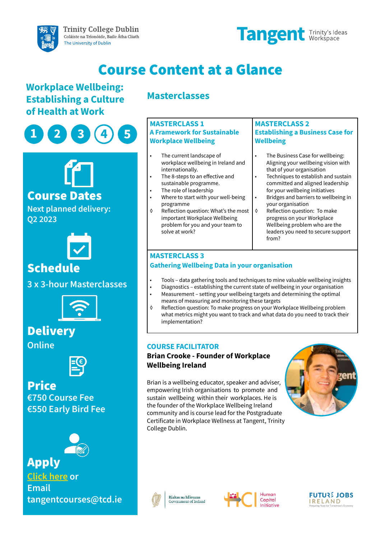

# Course Content at a Glance

# **Workplace Wellbeing: Establishing a Culture of Health at Work**





## Course Dates

**Next planned delivery: Q2 2023**



# Schedule

**3 x 3-hour Masterclasses**



**Delivery** 

**Online**



# **€750 Course Fee €550 Early Bird Fee** Price



**[Click here](https://www.tcd.ie/tangent/education/shortcourses/hci-workplace-wellbeing/) or Email tangentcourses@tcd.ie** Apply

# **Masterclasses**

#### **MASTERCLASS 1 A Framework for Sustainable Workplace Wellbeing**

- The current landscape of workplace wellbeing in Ireland and internationally.
	- The 8-steps to an effective and sustainable programme.
- The role of leadership • Where to start with your well-being
- programme
- ◊ Reflection question: What's the most important Workplace Wellbeing problem for you and your team to solve at work?

#### **MASTERCLASS 2 Establishing a Business Case for Wellbeing**

- The Business Case for wellbeing: Aligning your wellbeing vision with that of your organisation
- Techniques to establish and sustain committed and aligned leadership for your wellbeing initiatives
- Bridges and barriers to wellbeing in your organisation
- ◊ Reflection question: To make progress on your Workplace Wellbeing problem who are the leaders you need to secure support from?

### **MASTERCLASS 3**

### **Gathering Wellbeing Data in your organisation**

- Tools data gathering tools and techniques to mine valuable wellbeing insights
- Diagnostics establishing the current state of wellbeing in your organisation • Measurement – setting your wellbeing targets and determining the optimal means of measuring and monitoring these targets
- ◊ Reflection question: To make progress on your Workplace Wellbeing problem what metrics might you want to track and what data do you need to track their implementation?

### **COURSE FACILITATOR**

### **Brian Crooke - Founder of Workplace Wellbeing Ireland**

Brian is a wellbeing educator, speaker and adviser, empowering Irish organisations to promote and sustain wellbeing within their workplaces. He is the founder of the Workplace Wellbeing Ireland community and is course lead for the Postgraduate Certificate in Workplace Wellness at Tangent, Trinity College Dublin.



**FUTURE JOBS** 

IRELAND



Rialtas na hÉireann Government of Ireland